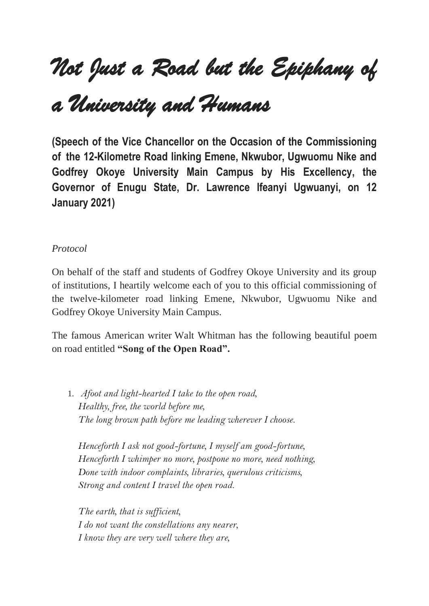## *Not Just a Road but the Epiphany of*

## *a University and Humans*

**(Speech of the Vice Chancellor on the Occasion of the Commissioning of the 12-Kilometre Road linking Emene, Nkwubor, Ugwuomu Nike and Godfrey Okoye University Main Campus by His Excellency, the Governor of Enugu State, Dr. Lawrence Ifeanyi Ugwuanyi, on 12 January 2021)**

## *Protocol*

On behalf of the staff and students of Godfrey Okoye University and its group of institutions, I heartily welcome each of you to this official commissioning of the twelve-kilometer road linking Emene, Nkwubor, Ugwuomu Nike and Godfrey Okoye University Main Campus.

The famous American writer Walt Whitman has the following beautiful poem on road entitled **"Song of the Open Road".**

1. *Afoot and light-hearted I take to the open road, Healthy, free, the world before me, The long brown path before me leading wherever I choose.*

*Henceforth I ask not good-fortune, I myself am good-fortune, Henceforth I whimper no more, postpone no more, need nothing, Done with indoor complaints, libraries, querulous criticisms, Strong and content I travel the open road.*

*The earth, that is sufficient, I do not want the constellations any nearer, I know they are very well where they are,*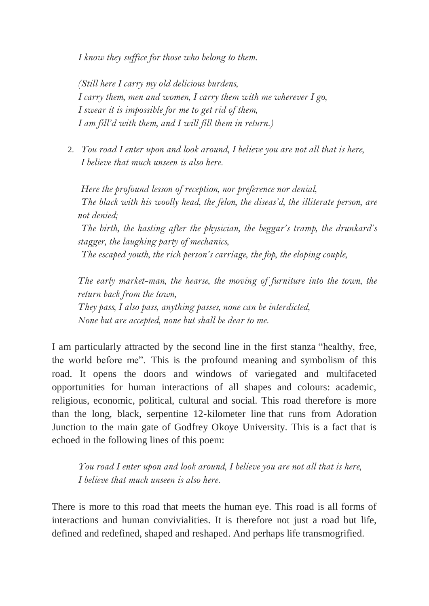*I know they suffice for those who belong to them.*

*(Still here I carry my old delicious burdens, I carry them, men and women, I carry them with me wherever I go, I swear it is impossible for me to get rid of them, I am fill'd with them, and I will fill them in return.)*

2. *You road I enter upon and look around, I believe you are not all that is here, I believe that much unseen is also here.*

*Here the profound lesson of reception, nor preference nor denial, The black with his woolly head, the felon, the diseas'd, the illiterate person, are not denied;*

*The birth, the hasting after the physician, the beggar's tramp, the drunkard's stagger, the laughing party of mechanics,*

*The escaped youth, the rich person's carriage, the fop, the eloping couple,*

*The early market-man, the hearse, the moving of furniture into the town, the return back from the town, They pass, I also pass, anything passes, none can be interdicted, None but are accepted, none but shall be dear to me.*

I am particularly attracted by the second line in the first stanza "healthy, free, the world before me". This is the profound meaning and symbolism of this road. It opens the doors and windows of variegated and multifaceted opportunities for human interactions of all shapes and colours: academic, religious, economic, political, cultural and social. This road therefore is more than the long, black, serpentine 12-kilometer line that runs from Adoration Junction to the main gate of Godfrey Okoye University. This is a fact that is echoed in the following lines of this poem:

*You road I enter upon and look around, I believe you are not all that is here, I believe that much unseen is also here.*

There is more to this road that meets the human eye. This road is all forms of interactions and human convivialities. It is therefore not just a road but life, defined and redefined, shaped and reshaped. And perhaps life transmogrified.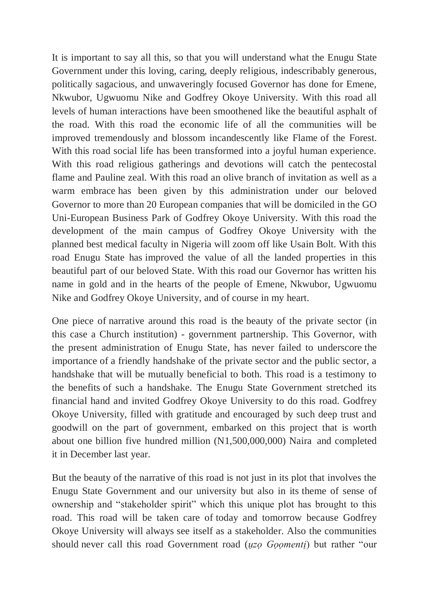It is important to say all this, so that you will understand what the Enugu State Government under this loving, caring, deeply religious, indescribably generous, politically sagacious, and unwaveringly focused Governor has done for Emene, Nkwubor, Ugwuomu Nike and Godfrey Okoye University. With this road all levels of human interactions have been smoothened like the beautiful asphalt of the road. With this road the economic life of all the communities will be improved tremendously and blossom incandescently like Flame of the Forest. With this road social life has been transformed into a joyful human experience. With this road religious gatherings and devotions will catch the pentecostal flame and Pauline zeal. With this road an olive branch of invitation as well as a warm embrace has been given by this administration under our beloved Governor to more than 20 European companies that will be domiciled in the GO Uni-European Business Park of Godfrey Okoye University. With this road the development of the main campus of Godfrey Okoye University with the planned best medical faculty in Nigeria will zoom off like Usain Bolt. With this road Enugu State has improved the value of all the landed properties in this beautiful part of our beloved State. With this road our Governor has written his name in gold and in the hearts of the people of Emene, Nkwubor, Ugwuomu Nike and Godfrey Okoye University, and of course in my heart.

One piece of narrative around this road is the beauty of the private sector (in this case a Church institution) - government partnership. This Governor, with the present administration of Enugu State, has never failed to underscore the importance of a friendly handshake of the private sector and the public sector, a handshake that will be mutually beneficial to both. This road is a testimony to the benefits of such a handshake. The Enugu State Government stretched its financial hand and invited Godfrey Okoye University to do this road. Godfrey Okoye University, filled with gratitude and encouraged by such deep trust and goodwill on the part of government, embarked on this project that is worth about one billion five hundred million (N1,500,000,000) Naira and completed it in December last year.

But the beauty of the narrative of this road is not just in its plot that involves the Enugu State Government and our university but also in its theme of sense of ownership and "stakeholder spirit" which this unique plot has brought to this road. This road will be taken care of today and tomorrow because Godfrey Okoye University will always see itself as a stakeholder. Also the communities should never call this road Government road (*ụzọ Gọọmentị*) but rather "our